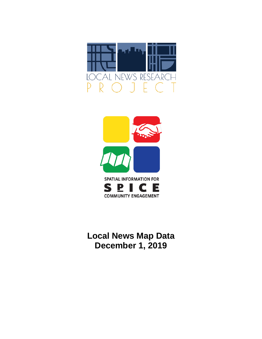



# **Local News Map Data December 1, 2019**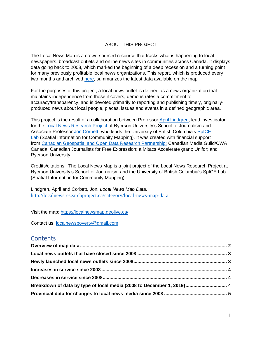### ABOUT THIS PROJECT

The Local News Map is a crowd-sourced resource that tracks what is happening to local newspapers, broadcast outlets and online news sites in communities across Canada. It displays data going back to 2008, which marked the beginning of a deep recession and a turning point for many previously profitable local news organizations. This report, which is produced every two months and archived [here,](http://localnewsresearchproject.ca/category/local-news-map-data) summarizes the latest data available on the map.

For the purposes of this project, a local news outlet is defined as a news organization that maintains independence from those it covers, demonstrates a commitment to accuracy/transparency, and is devoted primarily to reporting and publishing timely, originallyproduced news about local people, places, issues and events in a defined geographic area.

This project is the result of a collaboration between Professor [April Lindgren,](http://rsj.journalism.ryerson.ca/team/april-lindgren/) lead investigator for the [Local News Research Project](http://localnewsresearchproject.ca/) at Ryerson University's School of Journalism and Associate Professor [Jon Corbett,](http://joncorbett.com/JonCorbett/Home.html) who leads the University of British Columbia's SpICE [Lab](http://spice.geolive.ca/) (Spatial Information for Community Mapping). It was created with financial support from [Canadian Geospatial and Open Data Research Partnership;](http://geothink.ca/) Canadian Media Guild/CWA Canada; Canadian Journalists for Free Expression; a Mitacs Accelerate grant; Unifor; and Ryerson University.

Credits/citations: The Local News Map is a joint project of the Local News Research Project at Ryerson University's School of Journalism and the University of British Columbia's SpICE Lab (Spatial Information for Community Mapping).

Lindgren, April and Corbett, Jon. *Local News Map Data.*  <http://localnewsresearchproject.ca/category/local-news-map-data>

Visit the map:<https://localnewsmap.geolive.ca/>

Contact us: [localnewspoverty@gmail.com](mailto:localnewspoverty@gmail.com)

## **Contents**

| Breakdown of data by type of local media (2008 to December 1, 2019) 4 |  |
|-----------------------------------------------------------------------|--|
|                                                                       |  |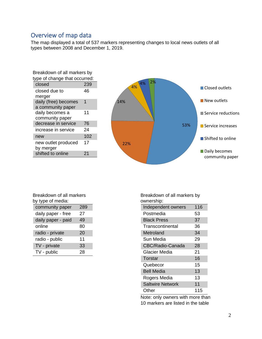## <span id="page-2-0"></span>Overview of map data

The map displayed a total of 537 markers representing changes to local news outlets of all types between 2008 and December 1, 2019.

| Breakdown of all markers by   |     |  |
|-------------------------------|-----|--|
| type of change that occurred: |     |  |
| closed                        | 239 |  |
| closed due to                 | 46  |  |
| merger                        |     |  |
| daily (free) becomes          | 1   |  |
| a community paper             |     |  |
| daily becomes a               | 11  |  |
| community paper               |     |  |
| decrease in service           | 76  |  |
| increase in service           | 24  |  |
| new                           | 102 |  |
| new outlet produced           | 17  |  |
| by merger                     |     |  |
| shifted to online             | 21  |  |



| Breakdown of all markers |     |
|--------------------------|-----|
| by type of media:        |     |
| community paper          | 289 |

| daily paper - free | 27 |
|--------------------|----|
| daily paper - paid | 49 |
| online             | 80 |
| radio - private    | 20 |
| radio - public     | 11 |
| TV - private       | 33 |
| TV - public        | 28 |

Breakdown of all markers by ownership:

| uwuuuun,                |     |
|-------------------------|-----|
| Independent owners      | 116 |
| Postmedia               | 53  |
| <b>Black Press</b>      | 37  |
| Transcontinental        | 36  |
| Metroland               | 34  |
| Sun Media               | 29  |
| CBC/Radio-Canada        | 28  |
| <b>Glacier Media</b>    | 21  |
| Torstar                 | 16  |
| Quebecor                | 15  |
| <b>Bell Media</b>       | 13  |
| Rogers Media            | 13  |
| <b>Saltwire Network</b> | 11  |
| Other                   | 115 |

Note: only owners with more than 10 markers are listed in the table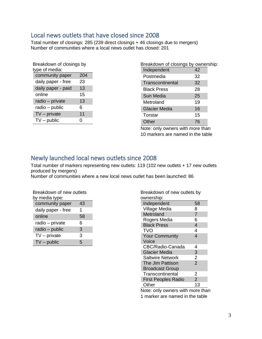## <span id="page-3-0"></span>Local news outlets that have closed since 2008

Total number of closings: 285 (239 direct closings + 46 closings due to mergers) Number of communities where a local news outlet has closed: 201

| Breakdown of closings by<br>type of media: |     |
|--------------------------------------------|-----|
| community paper                            | 204 |
| daily paper - free                         | 23  |
| daily paper - paid                         | 13  |
| online                                     | 15  |
| radio - private                            | 13  |
| radio - public                             | 6   |
| $TV$ – private                             | 11  |
| $TV$ – public                              | 0   |

| Breakdown of closings by ownership: |    |  |
|-------------------------------------|----|--|
| Independent                         | 42 |  |
| Postmedia                           | 32 |  |
| Transcontinental                    | 32 |  |
| <b>Black Press</b>                  | 28 |  |
| Sun Media                           | 25 |  |
| Metroland                           | 19 |  |
| <b>Glacier Media</b>                | 16 |  |
| Torstar                             | 15 |  |
| Other                               | 76 |  |

Note: only owners with more than 10 markers are named in the table

## <span id="page-3-1"></span>Newly launched local news outlets since 2008

Total number of markers representing new outlets: 119 (102 new outlets + 17 new outlets produced by mergers)

Number of communities where a new local news outlet has been launched: 86

| Breakdown of new outlets<br>by media type: |    |
|--------------------------------------------|----|
| community paper                            | 43 |
| daily paper - free                         | 1  |
| online                                     | 58 |
| radio – private                            | 6  |
| radio - public                             | 3  |
| $TV$ – private                             | 3  |
| $TV$ – public                              | 5  |

| Breakdown of new outlets by<br>ownership: |                          |
|-------------------------------------------|--------------------------|
| Independent                               | 58                       |
| Village Media                             | 8                        |
| Metroland                                 | $\overline{7}$           |
| Rogers Media                              | 6                        |
| <b>Black Press</b>                        | $\overline{\mathcal{A}}$ |
| <b>TVO</b>                                | 4                        |
| <b>Your Community</b>                     | $\overline{4}$           |
| Voice                                     |                          |
| CBC/Radio-Canada                          | 4                        |
| <b>Glacier Media</b>                      | 3                        |
| <b>Saltwire Network</b>                   | $\overline{2}$           |
| The Jim Pattison                          | $\overline{2}$           |
| <b>Broadcast Group</b>                    |                          |
| Transcontinental                          | 2                        |
| <b>First Peoples Radio</b>                | $\overline{2}$           |
| Other                                     | 13                       |
| .                                         |                          |

Note: only owners with more than 1 marker are named in the table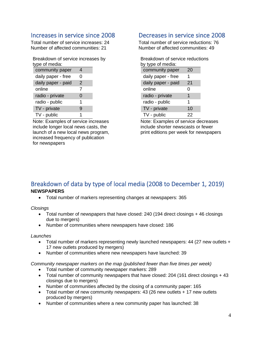## <span id="page-4-0"></span>Increases in service since 2008

Total number of service increases: 24 Number of affected communities: 21

| Breakdown of service increases by |  |
|-----------------------------------|--|
| type of media:                    |  |

| community paper    |               |  |
|--------------------|---------------|--|
| daily paper - free | 0             |  |
| daily paper - paid | $\mathcal{P}$ |  |
| online             | 7             |  |
| radio - private    | 0             |  |
| radio - public     | 1             |  |
| TV - private       | 9             |  |
| TV - public        | 1             |  |

Note: Examples of service increases include longer local news casts, the launch of a new local news program, increased frequency of publication for newspapers

## <span id="page-4-1"></span>Decreases in service since 2008

Total number of service reductions: 76 Number of affected communities: 49

| Breakdown of service reductions |    |
|---------------------------------|----|
| by type of media:               |    |
| community paper                 | 20 |
| daily paper - free              | 1  |
| daily paper - paid              | 21 |
| online                          | 0  |
| radio - private                 | 1  |
| radio - public                  | 1  |
| TV - private                    | 10 |
| TV - public                     | 22 |

Note: Examples of service decreases include shorter newscasts or fewer print editions per week for newspapers

### <span id="page-4-2"></span>Breakdown of data by type of local media (2008 to December 1, 2019) **NEWSPAPERS**

• Total number of markers representing changes at newspapers: 365

*Closings*

- Total number of newspapers that have closed: 240 (194 direct closings + 46 closings due to mergers)
- Number of communities where newspapers have closed: 186

#### *Launches*

- Total number of markers representing newly launched newspapers: 44 (27 new outlets + 17 new outlets produced by mergers)
- Number of communities where new newspapers have launched: 39

*Community newspaper markers on the map (published fewer than five times per week)* 

- Total number of community newspaper markers: 289
- Total number of community newspapers that have closed: 204 (161 direct closings + 43 closings due to mergers)
- Number of communities affected by the closing of a community paper: 165
- Total number of new community newspapers: 43 (26 new outlets + 17 new outlets produced by mergers)
- Number of communities where a new community paper has launched: 38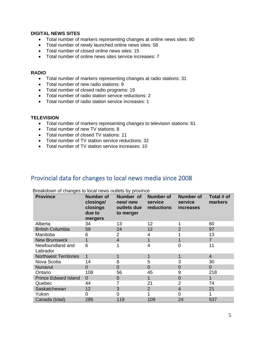#### **DIGITAL NEWS SITES**

- Total number of markers representing changes at online news sites: 80
- Total number of newly launched online news sites: 58
- Total number of closed online news sites: 15
- Total number of online news sites service increases: 7

#### **RADIO**

- Total number of markers representing changes at radio stations: 31
- Total number of new radio stations: 9
- Total number of closed radio programs: 19
- Total number of radio station service reductions: 2
- Total number of radio station service increases: 1

#### **TELEVISION**

- Total number of markers representing changes to television stations: 61
- Total number of new TV stations: 8
- Total number of closed TV stations: 11
- Total number of TV station service reductions: 32
- Total number of TV station service increases: 10

## <span id="page-5-0"></span>Provincial data for changes to local news media since 2008

| <b>Province</b>              | <b>Number of</b><br>closings/<br>closings<br>due to<br>mergers | Number of<br>new/new<br>outlets due<br>to merger | <b>Number of</b><br>service<br>reductions | <b>Number of</b><br>service<br><i>increases</i> | Total # of<br>markers |
|------------------------------|----------------------------------------------------------------|--------------------------------------------------|-------------------------------------------|-------------------------------------------------|-----------------------|
| Alberta                      | 34                                                             | 13                                               | 12                                        |                                                 | 60                    |
| <b>British Columbia</b>      | 59                                                             | 24                                               | 12                                        | $\overline{2}$                                  | 97                    |
| Manitoba                     | 6                                                              | 2                                                | 4                                         |                                                 | 13                    |
| <b>New Brunswick</b>         | 1                                                              | 4                                                |                                           |                                                 | $\overline{7}$        |
| Newfoundland and<br>Labrador | 6                                                              |                                                  | 4                                         | 0                                               | 11                    |
| <b>Northwest Territories</b> | 1                                                              | 1                                                |                                           | 1                                               | $\overline{4}$        |
| Nova Scotia                  | 14                                                             | 8                                                | 5                                         | 3                                               | 30                    |
| Nunavut                      | $\Omega$                                                       | 0                                                | $\Omega$                                  | $\overline{0}$                                  | $\overline{0}$        |
| Ontario                      | 108                                                            | 56                                               | 45                                        | 9                                               | 218                   |
| <b>Prince Edward Island</b>  | $\Omega$                                                       | 0                                                |                                           | $\overline{0}$                                  | 1                     |
| Quebec                       | 44                                                             |                                                  | 21                                        | $\overline{2}$                                  | 74                    |
| Saskatchewan                 | 12                                                             | 3                                                | 2                                         | $\overline{4}$                                  | 21                    |
| Yukon                        | 0                                                              | 0                                                |                                           | 0                                               |                       |
| Canada (total)               | 285                                                            | 119                                              | 109                                       | 24                                              | 537                   |

Breakdown of changes to local news outlets by province